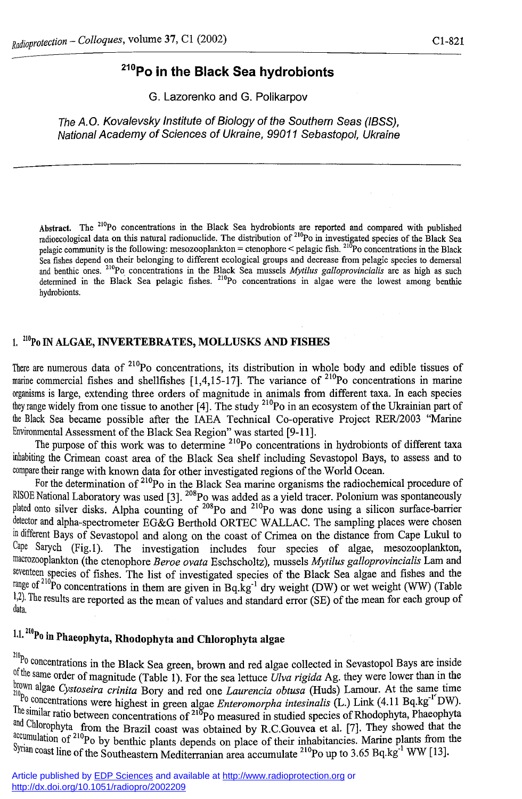# **<sup>210</sup>Po in the Black Sea hydrobionts**

G. Lazorenko and G. Polikarpov

*The A.O. Kovalevsky Institute of Biology of the Southern Seas (IBSS), National Academy of Sciences of Ukraine, 99011 Sebastopol, Ukraine* 

Abstract. The <sup>210</sup>Po concentrations in the Black Sea hydrobionts are reported and compared with published **radioecological data on this natural radionuclide. The distribution of <sup>210</sup>Po in investigated species of the Black Sea pelagic community is die following: mesozooplankton = ctenophore < pelagic fish. <sup>210</sup>Po concentrations in the Black Sea fishes depend on their belonging to different ecological groups and decrease from pelagic species to demersal and benthic ones. <sup>210</sup>Po concentrations in the Black Sea mussels** *Mytilus galloprovincialis* **are as high as such determined in the Black Sea pelagic fishes. <sup>210</sup>Po concentrations in algae were the lowest among benthic hydrobionts.** 

#### **1. <sup>210</sup>Po IN ALGAE, INVERTEBRATES, MOLLUSKS AND FISHES**

There are numerous data of <sup>210</sup>Po concentrations, its distribution in whole body and edible tissues of marine commercial fishes and shellfishes  $[1,4,15-17]$ . The variance of <sup>210</sup>Po concentrations in marine organisms is large, extending three orders of magnitude in animals from different taxa. In each species they range widely from one tissue to another  $[4]$ . The study <sup>210</sup>Po in an ecosystem of the Ukrainian part of the Black Sea became possible after the IAEA Technical Co-operative Project RER/2003 "Marine Environmental Assessment of the Black Sea Region" was started [9-11].

The purpose of this work was to determine <sup>210</sup>Po concentrations in hydrobionts of different taxa inhabiting the Crimean coast area of the Black Sea shelf including Sevastopol Bays, to assess and to compare their range with known data for other investigated regions of the World Ocean.

For the determination of <sup>210</sup>Po in the Black Sea marine organisms the radiochemical procedure of <sup>klSOE</sup> National Laboratory was used [3]. <sup>208</sup>Po was added as a yield tracer. Polonium was spontaneously plated onto silver disks. Alpha counting of <sup>208</sup>Po and <sup>210</sup>Po was done using a silicon surface-barrier detector and alpha-spectrometer EG&G Berthold ORTEC WALLAC. The sampling places were chosen in different Bays of Sevastopol and along on the coast of Crimea on the distance from Cape Lukul to Cape Sarych (Fig.l). The investigation includes four species of algae, mesozooplankton, macrozooplankton (the ctenophore *Beroe ovata* Eschscholtz), mussels *Mytilus galloprovincialis* Lam and seventeen species of fishes. The list of investigated species of the Black Sea algae and fishes and the <sup>range of <sup>210</sup>Po concentrations in them are given in Bq.kg<sup>-1</sup> dry weight (DW) or wet weight (WW) (Table</sup> 1,2). The results are reported as the mean of values and standard error (SE) of the mean for each group of data.

# 11.**2I0Po in Phaeophyta, Rhodophyta and Chlorophyta algae**

 $^{210}P_0$  concentrations in the Black Sea green, brown and red algae collected in Sevastopol Bays are inside of the same order of magnitude (Table 1). For the sea lettuce *Ulva rigida* Ag. they were lower than in the brown algae Cystoseira crinita Bory and red one *Laurencia obtusa* (Huds) Lamour. At the same time Po concentrations were highest in green algae *Enteromorpha intesinalis* (L.) Link (4.11 Bq.kg<sup>-1</sup><sup>-</sup>DW). <sup>1 lie</sup> similar ratio between concentrations of <sup>210</sup>Po measured in studied species of Rhodophyta, Phaeophyta and Chlorophyta from the Brazil coast was obtained by R.C.Gouvea et al. [7]. They showed that the <sup>accumulation of <sup>210</sup>Po by benthic plants depends on place of their inhabitancies. Marine plants from the</sup> <sup>9ynan</sup> coast line of the Southeastern Mediterranian area accumulate <sup>210</sup>Po up to 3.65 Bq.kg<sup>-1</sup> WW [13].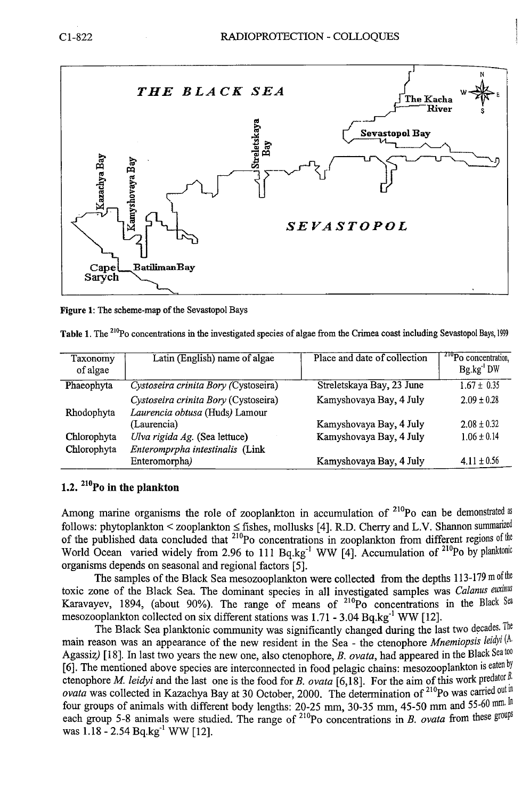

**Figure 1: The scheme-map of the Sevastopol Bays** 

**Table 1. The <sup>210</sup>Po concentrations in the investigated species of algae from the Crimea coast including Sevastopol Bays, 1999** 

| Taxonomy<br>of algae | Latin (English) name of algae                                          | Place and date of collection | <sup>210</sup> Po concentration,<br>Bg.kg DW |
|----------------------|------------------------------------------------------------------------|------------------------------|----------------------------------------------|
| Phaeophyta           | Cystoseira crinita Bory (Cystoseira)                                   | Streletskaya Bay, 23 June    | $1.67 \pm 0.35$                              |
| Rhodophyta           | Cystoseira crinita Bory (Cystoseira)<br>Laurencia obtusa (Huds) Lamour | Kamyshovaya Bay, 4 July      | $2.09 \pm 0.28$                              |
|                      | (Laurencia)                                                            | Kamyshovaya Bay, 4 July      | $2.08 + 0.32$                                |
| Chlorophyta          | Ulva rigida Ag. (Sea lettuce)                                          | Kamyshovaya Bay, 4 July      | $1.06 \pm 0.14$                              |
| Chlorophyta          | Enteromprpha intestinalis (Link                                        |                              |                                              |
|                      | Enteromorpha)                                                          | Kamyshovaya Bay, 4 July      | $4.11 \pm 0.56$                              |

## **1.2.** <sup>21</sup>°Po in the plankton

Among marine organisms the role of zooplankton in accumulation of  $210^{\circ}$ Po can be demonstrated as follows: phytoplankton < zooplankton < fishes, mollusks [4]. R.D. Cherry and L.V. Shannon summarized of the published data concluded that  $^{210}$ Po concentrations in zooplankton from different regions of the World Ocean varied widely from 2.96 to 111  $Ba_kg^{-1}$  WW [4]. Accumulation of  $^{210}Po$  by planktonic organisms depends on seasonal and regional factors [5].

The samples of the Black Sea mesozooplankton were collected from the depths 113-179 m of the toxic zone of the Black Sea. The dominant species in all investigated samples was *Calanus euxinus* Karavayev, 1894, (about 90%). The range of means of  $^{210}P^{\circ}$  concentrations in the Black Sea mesozooplankton collected on six different stations was  $1.71 - 3.04$  Bq.kg<sup>-1</sup> WW [12].

The Black Sea planktonic community was significantly changed during the last two decades. The mam reason was an appearance of the new resident in the Sea - the ctenophore *Mnemiopsis leidyi* (A. Agassizj [18]. In last two years the new one, also ctenophore, *B. ovata,* had appeared in the Black Sea too [6]. The mentioned above species are interconnected in food pelagic chains: mesozooplankton is eaten by ctenophore *M. leidyi* and the last one is the food for *B. ovata* [6,18]. For the aim of this work predator *B*. *ovata* was collected in Kazachya Bay at 30 October, 2000. The determination of <sup>210</sup>Po was carried out in four groups of animals with different body lengths: 20-25 mm, 30-35 mm, 45-50 mm and 55-60 mm. In each group 5-8 animals were studied. The range of <sup>210</sup>Po concentrations in *B. ovata* from these groups was 1.18 - 2.54 Bq.kg<sup>-1</sup> WW [12].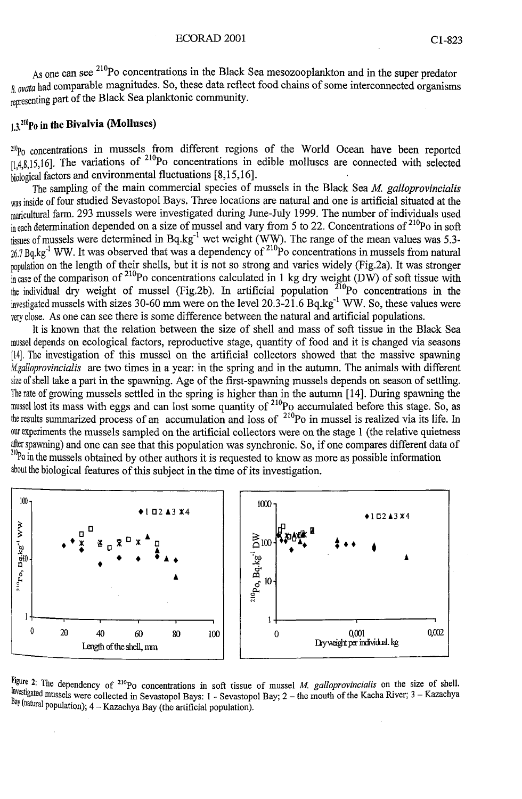As one can see <sup>210</sup>Po concentrations in the Black Sea mesozooplankton and in the super predator *B* ovata had comparable magnitudes. So, these data reflect food chains of some interconnected organisms representing part of the Black Sea planktonic community.

#### $1.3$ <sup>210</sup>Po in the Bivalvia (Molluscs)

 $20p_0$  concentrations in mussels from different regions of the World Ocean have been reported  $[1,4,8,15,16]$ . The variations of <sup>210</sup>Po concentrations in edible molluscs are connected with selected biological factors and environmental fluctuations [8,15,16].

The sampling of the main commercial species of mussels in the Black Sea *M. galloprovincialis*  was inside of four studied Sevastopol Bays. Three locations are natural and one is artificial situated at the maricultural farm. 293 mussels were investigated during June-July 1999. The number of individuals used  $\sin$  each determination depended on a size of mussel and vary from 5 to 22. Concentrations of <sup>210</sup>Po in soft tissues of mussels were determined in Bq.kg<sup>-1</sup> wet weight (WW). The range of the mean values was 5.3- $26.7 Bq$ , kg<sup>-1</sup> WW. It was observed that was a dependency of <sup>210</sup>Po concentrations in mussels from natural population on the length of their shells, but it is not so strong and varies widely (Fig.2a). It was stronger  $\sin$  case of the comparison of <sup>210</sup>Po concentrations calculated in 1 kg dry weight (DW) of soft tissue with the individual dry weight of mussel (Fig.2b). In artificial population  $^{210}$ Po concentrations in the investigated mussels with sizes 30-60 mm were on the level 20.3-21.6 Bq.kg<sup>-1</sup> WW. So, these values were very close. As one can see there is some difference between the natural and artificial populations.

It is known that the relation between the size of shell and mass of soft tissue in the Black Sea mussel depends on ecological factors, reproductive stage, quantity of food and it is changed via seasons [14]. The investigation of this mussel on the artificial collectors showed that the massive spawning *M.galloprovincialis* are two times in a year: in the spring and in the autumn. The animals with different size of shell take a part in the spawning. Age of the first-spawning mussels depends on season of settling. The rate of growing mussels settled in the spring is higher than in the autumn [14]. During spawning the mussel lost its mass with eggs and can lost some quantity of  $^{210}$ Po accumulated before this stage. So, as the results summarized process of an accumulation and loss of  $10^2PQ$  in mussel is realized via its life. In our experiments the mussels sampled on the artificial collectors were on the stage 1 (the relative quietness spawning) and one can see that this population was synchronic. So, if one compares different data of <sup>210</sup>Po in the mussels obtained by other authors it is requested to know as more as possible information about the biological features of this subject in the time of its investigation.



 **2: The dependency of <sup>210</sup>Po concentrations in soft tissue of mussel** *M. galloprovincialis* **on the size of shell, Thy stigated mussels were collected in Sevastopol Bays: 1 - Sevastopol Bay; 2 – the mouth of the Kacha River; 3 – Kazachya** Bay (natural population); 4 - Kazachya Bay (the artificial population).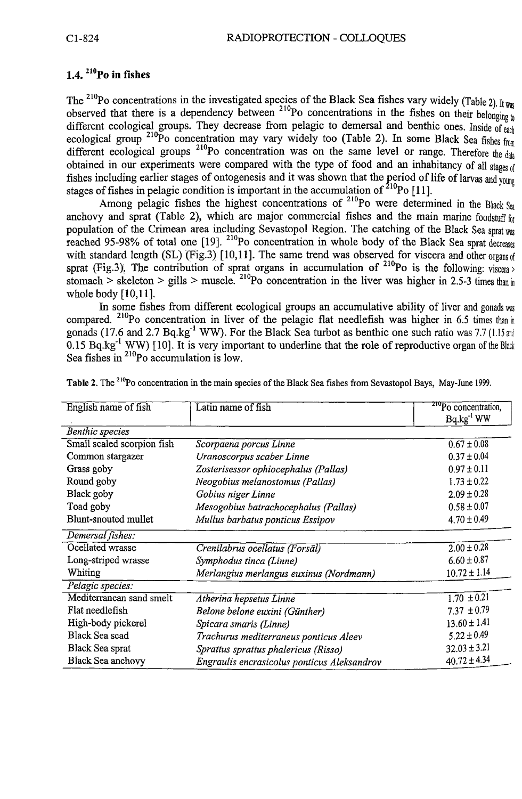# **1.4.** <sup>210</sup>Po in fishes

The <sup>210</sup>Po concentrations in the investigated species of the Black Sea fishes vary widely (Table 2). It was observed that there is a dependency between <sup>210</sup>Po concentrations in the fishes on their belonging to different ecological groups. They decrease from pelagic to demersal and benthic ones. Inside of each ecological group <sup>210</sup>Po concentration may vary widely too (Table 2). In some Black Sea fishes from different ecological groups <sup>210</sup>Po concentration was on the same level or range. Therefore the data obtained in our experiments were compared with the type of food and an inhabitancy of all stages of fishes including earlier stages of ontogenesis and it was shown that the period of life of larvas and young stages of fishes in pelagic condition is important in the accumulation of  $^{210}P^{\circ}$  [11].

Among pelagic fishes the highest concentrations of <sup>210</sup>Po were determined in the Black  $S_{eq}$ anchovy and sprat (Table 2), which are major commercial fishes and the main marine foodstuff for population of the Crimean area including Sevastopol Region. The catching of the Black Sea sprat was reached 95-98% of total one [19]. <sup>210</sup>Po concentration in whole body of the Black Sea sprat decreases with standard length (SL) (Fig.3) [10,11]. The same trend was observed for viscera and other organs of sprat (Fig.3). The contribution of sprat organs in accumulation of <sup>210</sup>Po is the following: viscera > stomach > skeleton > gills > muscle. <sup>210</sup>Po concentration in the liver was higher in 2.5-3 times than in whole body [10,11].

In some fishes from different ecological groups an accumulative ability of liver and gonads was compared. <sup>210</sup>Po concentration in liver of the pelagic flat needlefish was higher in 6.5 times than in gonads (17.6 and 2.7 Bq.kg<sup>-1</sup> WW). For the Black Sea turbot as benthic one such ratio was 7.7 (1.15 and 0.15  $Bq \, \text{kg}^{-1}$  WW) [10]. It is very important to underline that the role of reproductive organ of the Black Sea fishes in <sup>210</sup>Po accumulation is low.

| English name of fish       | Latin name of fish                          | <sup>210</sup> Po concentration, |  |  |
|----------------------------|---------------------------------------------|----------------------------------|--|--|
|                            |                                             | $Bq.kg^{-1}WW$                   |  |  |
| <b>Benthic</b> species     |                                             |                                  |  |  |
| Small scaled scorpion fish | Scorpaena porcus Linne                      | $0.67 \pm 0.08$                  |  |  |
| Common stargazer           | Uranoscorpus scaber Linne                   | $0.37 \pm 0.04$                  |  |  |
| Grass goby                 | Zosterisessor ophiocephalus (Pallas)        | $0.97 \pm 0.11$                  |  |  |
| Round goby                 | Neogobius melanostomus (Pallas)             | $1.73 \pm 0.22$                  |  |  |
| Black goby                 | Gobius niger Linne                          | $2.09 \pm 0.28$                  |  |  |
| Toad goby                  | Mesogobius batrachocephalus (Pallas)        | $0.58 \pm 0.07$                  |  |  |
| Blunt-snouted mullet       | Mullus barbatus ponticus Essipov            | $4.70 \pm 0.49$                  |  |  |
| Demersal fishes:           |                                             |                                  |  |  |
| Ocellated wrasse           | Crenilabrus ocellatus (Forsäl)              | $2.00 \pm 0.28$                  |  |  |
| Long-striped wrasse        | Symphodus tinca (Linne)                     | $6.60 \pm 0.87$                  |  |  |
| Whiting                    | Merlangius merlangus euxinus (Nordmann)     | $10.72 \pm 1.14$                 |  |  |
| Pelagic species:           |                                             |                                  |  |  |
| Mediterranean sand smelt   | Atherina hepsetus Linne                     | $1.70 \pm 0.21$                  |  |  |
| Flat needlefish            | Belone belone euxini (Günther)              | $7.37 \pm 0.79$                  |  |  |
| High-body pickerel         | Spicara smaris (Linne)                      | $13.60 \pm 1.41$                 |  |  |
| Black Sea scad             | Trachurus mediterraneus ponticus Aleev      | $5.22 \pm 0.49$                  |  |  |
| Black Sea sprat            | Sprattus sprattus phalericus (Risso)        | $32.03 \pm 3.21$                 |  |  |
| Black Sea anchovy          | Engraulis encrasicolus ponticus Aleksandrov | $40.72 \pm 4.34$                 |  |  |

**Table 2. The <sup>210</sup>Po concentration in the main species of the Black Sea fishes from Sevastopol Bays, May-June 1999.**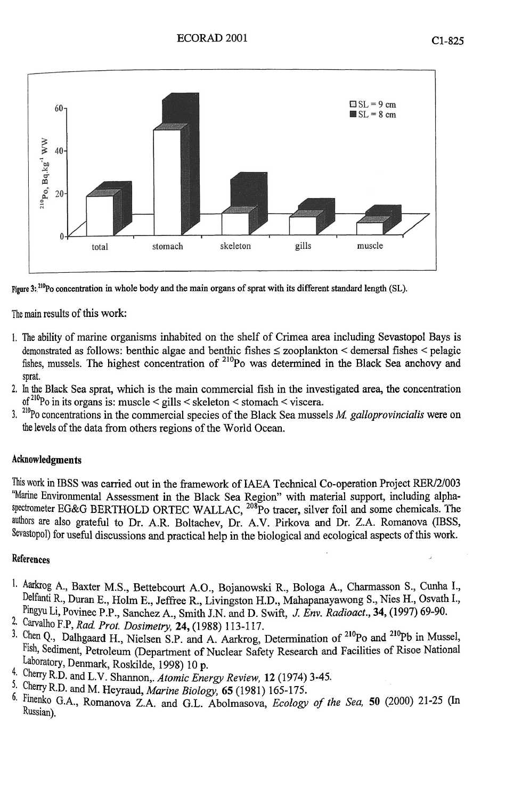

**figure 3'.210Po concentration in whole** body **and the** main **organs of sprat with** its **different standard length (SL).** 

The main results of this work:

- 1. The ability of marine organisms inhabited on the shelf of Crimea area including Sevastopol Bays is demonstrated as follows: benthic algae and benthic fishes < zooplankton < demersal fishes < pelagic fishes, mussels. The highest concentration of <sup>210</sup>Po was determined in the Black Sea anchovy and sprat.
- 2. In the Black Sea sprat, which is the main commercial fish in the investigated area, the concentration of <sup>210</sup>Po in its organs is: muscle < gills < skeleton < stomach < viscera.
- <sup>3. ""</sup>Po concentrations in the commercial species of the Black Sea mussels *M. galloprovincialis* were on the levels of the data from others regions of the World Ocean.

# Acknowledgments

This work in IBSS was carried out in the framework of IAEA Technical Co-operation Project RER/2/003 "Marine Environmental Assessment in the Black Sea Region" with material support, including alphaspectrometer EG&G BERTHOLD ORTEC WALLAC, <sup>208</sup>Po tracer, silver foil and some chemicals. The authors are also grateful to Dr. A.R. Boltachev, Dr. A.V. Pirkova and Dr. Z.A. Romanova (IBSS, Sevastopol) for useful discussions and practical help in the biological and ecological aspects of this work.

## References

- 1. Aarkrog A., Baxter M.S., Bettebcourt A.O., Bojanowski R., Bologa A., Charmasson S., Cunha I., Delfanti R., Duran E., Holm E., Jeffree R., Livingston H.D., Mahapanayawong S., Nies H., Osvath I., Pingyu Li, Povinec P.P., Sanchez A , Smith J.N. and D. Swift, *J. Env. Radioact.,* 34, (1997) 69-90.
- 2. Carvalho F.P, *Rad. Prot. Dosimetry,* 24, (1988) 113-117.
- <sup>3.</sup> Chen Q., Dalhgaard H., Nielsen S.P. and A. Aarkrog, Determination of <sup>210</sup>Po and <sup>210</sup>Pb in Mussel, Fish, Sediment, Petroleum (Department of Nuclear Safety Research and Facilities of Risoe National Laboratory, Denmark, Roskilde, 1998) 10 p.
- **4-** Cheny R.D. and L.V. Shannon,. *Atomic Energy Review,* 12 (1974) 3-45.
- 5- Cherry R.D. and M. Heyraud, *Marine Biology,* 65 (1981) 165-175.
- **k** Finenko G.A., Romanova Z.A. and G.L. Abolmasova, *Ecology of the Sea,* 50 (2000) 21-25 (In Russian).